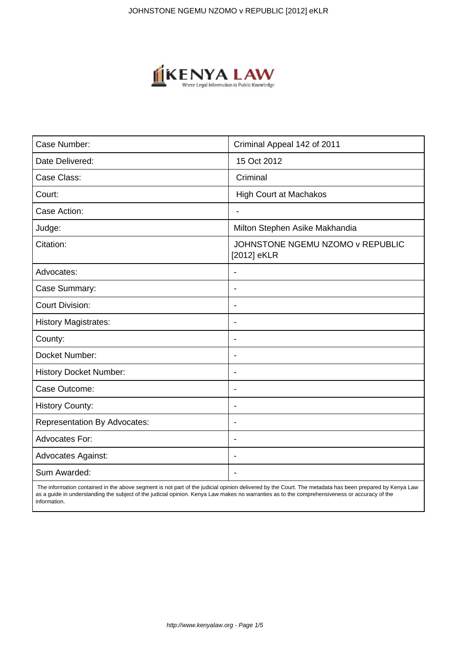

| Case Number:                        | Criminal Appeal 142 of 2011                     |
|-------------------------------------|-------------------------------------------------|
| Date Delivered:                     | 15 Oct 2012                                     |
| Case Class:                         | Criminal                                        |
| Court:                              | <b>High Court at Machakos</b>                   |
| Case Action:                        | $\blacksquare$                                  |
| Judge:                              | Milton Stephen Asike Makhandia                  |
| Citation:                           | JOHNSTONE NGEMU NZOMO v REPUBLIC<br>[2012] eKLR |
| Advocates:                          | $\overline{\phantom{a}}$                        |
| Case Summary:                       | $\overline{\phantom{0}}$                        |
| <b>Court Division:</b>              |                                                 |
| <b>History Magistrates:</b>         | $\blacksquare$                                  |
| County:                             | $\overline{\phantom{a}}$                        |
| Docket Number:                      |                                                 |
| <b>History Docket Number:</b>       | $\overline{\phantom{0}}$                        |
| Case Outcome:                       |                                                 |
| <b>History County:</b>              | $\overline{\phantom{a}}$                        |
| <b>Representation By Advocates:</b> | $\overline{\phantom{a}}$                        |
| Advocates For:                      | $\blacksquare$                                  |
| <b>Advocates Against:</b>           | $\overline{\phantom{a}}$                        |
| Sum Awarded:                        |                                                 |

 The information contained in the above segment is not part of the judicial opinion delivered by the Court. The metadata has been prepared by Kenya Law as a guide in understanding the subject of the judicial opinion. Kenya Law makes no warranties as to the comprehensiveness or accuracy of the information.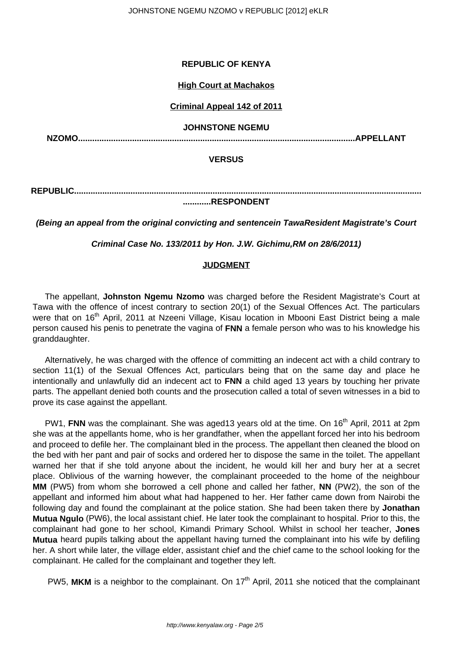## **REPUBLIC OF KENYA**

#### **High Court at Machakos**

## **Criminal Appeal 142 of 2011**

#### **JOHNSTONE NGEMU**

**NZOMO......................................................................................................................APPELLANT**

#### **VERSUS**

**REPUBLIC....................................................................................................................................................**

## **............RESPONDENT**

**(Being an appeal from the original convicting and sentencein TawaResident Magistrate's Court**

**Criminal Case No. 133/2011 by Hon. J.W. Gichimu,RM on 28/6/2011)**

### **JUDGMENT**

The appellant, **Johnston Ngemu Nzomo** was charged before the Resident Magistrate's Court at Tawa with the offence of incest contrary to section 20(1) of the Sexual Offences Act. The particulars were that on 16<sup>th</sup> April, 2011 at Nzeeni Village, Kisau location in Mbooni East District being a male person caused his penis to penetrate the vagina of **FNN** a female person who was to his knowledge his granddaughter.

Alternatively, he was charged with the offence of committing an indecent act with a child contrary to section 11(1) of the Sexual Offences Act, particulars being that on the same day and place he intentionally and unlawfully did an indecent act to **FNN** a child aged 13 years by touching her private parts. The appellant denied both counts and the prosecution called a total of seven witnesses in a bid to prove its case against the appellant.

PW1, FNN was the complainant. She was aged13 years old at the time. On 16<sup>th</sup> April, 2011 at 2pm she was at the appellants home, who is her grandfather, when the appellant forced her into his bedroom and proceed to defile her. The complainant bled in the process. The appellant then cleaned the blood on the bed with her pant and pair of socks and ordered her to dispose the same in the toilet. The appellant warned her that if she told anyone about the incident, he would kill her and bury her at a secret place. Oblivious of the warning however, the complainant proceeded to the home of the neighbour **MM** (PW5) from whom she borrowed a cell phone and called her father, **NN** (PW2), the son of the appellant and informed him about what had happened to her. Her father came down from Nairobi the following day and found the complainant at the police station. She had been taken there by **Jonathan Mutua Ngulo** (PW6), the local assistant chief. He later took the complainant to hospital. Prior to this, the complainant had gone to her school, Kimandi Primary School. Whilst in school her teacher, **Jones Mutua** heard pupils talking about the appellant having turned the complainant into his wife by defiling her. A short while later, the village elder, assistant chief and the chief came to the school looking for the complainant. He called for the complainant and together they left.

PW5, MKM is a neighbor to the complainant. On 17<sup>th</sup> April, 2011 she noticed that the complainant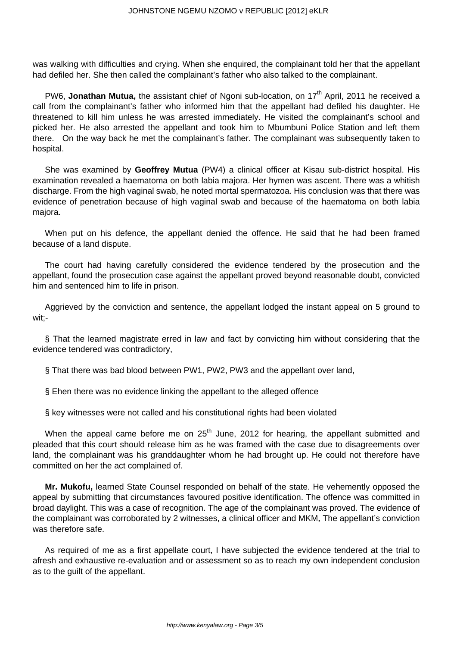was walking with difficulties and crying. When she enquired, the complainant told her that the appellant had defiled her. She then called the complainant's father who also talked to the complainant.

PW6, **Jonathan Mutua**, the assistant chief of Ngoni sub-location, on 17<sup>th</sup> April, 2011 he received a call from the complainant's father who informed him that the appellant had defiled his daughter. He threatened to kill him unless he was arrested immediately. He visited the complainant's school and picked her. He also arrested the appellant and took him to Mbumbuni Police Station and left them there. On the way back he met the complainant's father. The complainant was subsequently taken to hospital.

She was examined by **Geoffrey Mutua** (PW4) a clinical officer at Kisau sub-district hospital. His examination revealed a haematoma on both labia majora. Her hymen was ascent. There was a whitish discharge. From the high vaginal swab, he noted mortal spermatozoa. His conclusion was that there was evidence of penetration because of high vaginal swab and because of the haematoma on both labia majora.

When put on his defence, the appellant denied the offence. He said that he had been framed because of a land dispute.

The court had having carefully considered the evidence tendered by the prosecution and the appellant, found the prosecution case against the appellant proved beyond reasonable doubt, convicted him and sentenced him to life in prison.

Aggrieved by the conviction and sentence, the appellant lodged the instant appeal on 5 ground to wit;-

§ That the learned magistrate erred in law and fact by convicting him without considering that the evidence tendered was contradictory,

§ That there was bad blood between PW1, PW2, PW3 and the appellant over land,

§ Ehen there was no evidence linking the appellant to the alleged offence

§ key witnesses were not called and his constitutional rights had been violated

When the appeal came before me on  $25<sup>th</sup>$  June, 2012 for hearing, the appellant submitted and pleaded that this court should release him as he was framed with the case due to disagreements over land, the complainant was his granddaughter whom he had brought up. He could not therefore have committed on her the act complained of.

**Mr. Mukofu,** learned State Counsel responded on behalf of the state. He vehemently opposed the appeal by submitting that circumstances favoured positive identification. The offence was committed in broad daylight. This was a case of recognition. The age of the complainant was proved. The evidence of the complainant was corroborated by 2 witnesses, a clinical officer and MKM**.** The appellant's conviction was therefore safe.

As required of me as a first appellate court, I have subjected the evidence tendered at the trial to afresh and exhaustive re-evaluation and or assessment so as to reach my own independent conclusion as to the guilt of the appellant.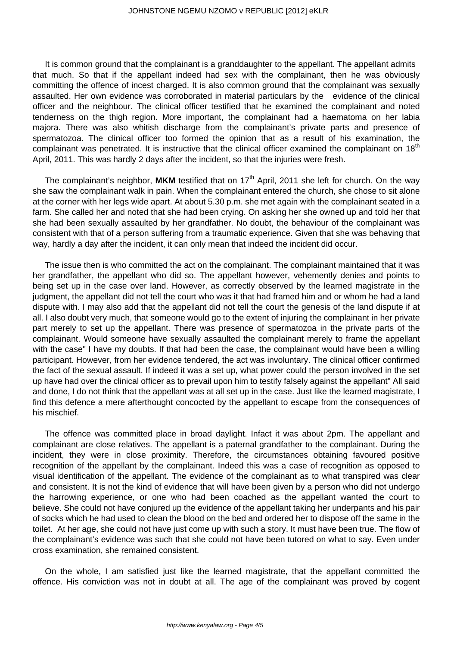It is common ground that the complainant is a granddaughter to the appellant. The appellant admits that much. So that if the appellant indeed had sex with the complainant, then he was obviously committing the offence of incest charged. It is also common ground that the complainant was sexually assaulted. Her own evidence was corroborated in material particulars by the evidence of the clinical officer and the neighbour. The clinical officer testified that he examined the complainant and noted tenderness on the thigh region. More important, the complainant had a haematoma on her labia majora. There was also whitish discharge from the complainant's private parts and presence of spermatozoa. The clinical officer too formed the opinion that as a result of his examination, the complainant was penetrated. It is instructive that the clinical officer examined the complainant on 18<sup>th</sup> April, 2011. This was hardly 2 days after the incident, so that the injuries were fresh.

The complainant's neighbor, MKM testified that on 17<sup>th</sup> April, 2011 she left for church. On the way she saw the complainant walk in pain. When the complainant entered the church, she chose to sit alone at the corner with her legs wide apart. At about 5.30 p.m. she met again with the complainant seated in a farm. She called her and noted that she had been crying. On asking her she owned up and told her that she had been sexually assaulted by her grandfather. No doubt, the behaviour of the complainant was consistent with that of a person suffering from a traumatic experience. Given that she was behaving that way, hardly a day after the incident, it can only mean that indeed the incident did occur.

The issue then is who committed the act on the complainant. The complainant maintained that it was her grandfather, the appellant who did so. The appellant however, vehemently denies and points to being set up in the case over land. However, as correctly observed by the learned magistrate in the judgment, the appellant did not tell the court who was it that had framed him and or whom he had a land dispute with. I may also add that the appellant did not tell the court the genesis of the land dispute if at all. I also doubt very much, that someone would go to the extent of injuring the complainant in her private part merely to set up the appellant. There was presence of spermatozoa in the private parts of the complainant. Would someone have sexually assaulted the complainant merely to frame the appellant with the case" I have my doubts. If that had been the case, the complainant would have been a willing participant. However, from her evidence tendered, the act was involuntary. The clinical officer confirmed the fact of the sexual assault. If indeed it was a set up, what power could the person involved in the set up have had over the clinical officer as to prevail upon him to testify falsely against the appellant" All said and done, I do not think that the appellant was at all set up in the case. Just like the learned magistrate, I find this defence a mere afterthought concocted by the appellant to escape from the consequences of his mischief.

The offence was committed place in broad daylight. Infact it was about 2pm. The appellant and complainant are close relatives. The appellant is a paternal grandfather to the complainant. During the incident, they were in close proximity. Therefore, the circumstances obtaining favoured positive recognition of the appellant by the complainant. Indeed this was a case of recognition as opposed to visual identification of the appellant. The evidence of the complainant as to what transpired was clear and consistent. It is not the kind of evidence that will have been given by a person who did not undergo the harrowing experience, or one who had been coached as the appellant wanted the court to believe. She could not have conjured up the evidence of the appellant taking her underpants and his pair of socks which he had used to clean the blood on the bed and ordered her to dispose off the same in the toilet. At her age, she could not have just come up with such a story. It must have been true. The flow of the complainant's evidence was such that she could not have been tutored on what to say. Even under cross examination, she remained consistent.

On the whole, I am satisfied just like the learned magistrate, that the appellant committed the offence. His conviction was not in doubt at all. The age of the complainant was proved by cogent